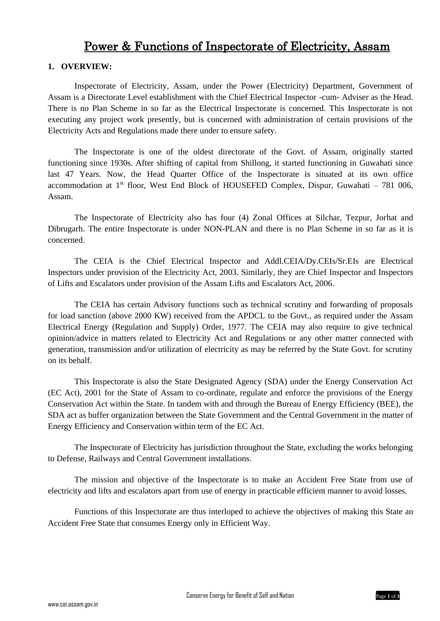# Power & Functions of Inspectorate of Electricity, Assam

### **1. OVERVIEW:**

Inspectorate of Electricity, Assam, under the Power (Electricity) Department, Government of Assam is a Directorate Level establishment with the Chief Electrical Inspector -cum- Adviser as the Head. There is no Plan Scheme in so far as the Electrical Inspectorate is concerned. This Inspectorate is not executing any project work presently, but is concerned with administration of certain provisions of the Electricity Acts and Regulations made there under to ensure safety.

The Inspectorate is one of the oldest directorate of the Govt. of Assam, originally started functioning since 1930s. After shifting of capital from Shillong, it started functioning in Guwahati since last 47 Years. Now, the Head Quarter Office of the Inspectorate is situated at its own office accommodation at  $1<sup>st</sup>$  floor, West End Block of HOUSEFED Complex, Dispur, Guwahati – 781 006, Assam.

The Inspectorate of Electricity also has four (4) Zonal Offices at Silchar, Tezpur, Jorhat and Dibrugarh. The entire Inspectorate is under NON-PLAN and there is no Plan Scheme in so far as it is concerned.

The CEIA is the Chief Electrical Inspector and Addl.CEIA/Dy.CEIs/Sr.EIs are Electrical Inspectors under provision of the Electricity Act, 2003. Similarly, they are Chief Inspector and Inspectors of Lifts and Escalators under provision of the Assam Lifts and Escalators Act, 2006.

The CEIA has certain Advisory functions such as technical scrutiny and forwarding of proposals for load sanction (above 2000 KW) received from the APDCL to the Govt., as required under the Assam Electrical Energy (Regulation and Supply) Order, 1977. The CEIA may also require to give technical opinion/advice in matters related to Electricity Act and Regulations or any other matter connected with generation, transmission and/or utilization of electricity as may be referred by the State Govt. for scrutiny on its behalf.

This Inspectorate is also the State Designated Agency (SDA) under the Energy Conservation Act (EC Act), 2001 for the State of Assam to co-ordinate, regulate and enforce the provisions of the Energy Conservation Act within the State. In tandem with and through the Bureau of Energy Efficiency (BEE), the SDA act as buffer organization between the State Government and the Central Government in the matter of Energy Efficiency and Conservation within term of the EC Act.

The Inspectorate of Electricity has jurisdiction throughout the State, excluding the works belonging to Defense, Railways and Central Government installations.

The mission and objective of the Inspectorate is to make an Accident Free State from use of electricity and lifts and escalators apart from use of energy in practicable efficient manner to avoid losses.

Functions of this Inspectorate are thus interloped to achieve the objectives of making this State an Accident Free State that consumes Energy only in Efficient Way.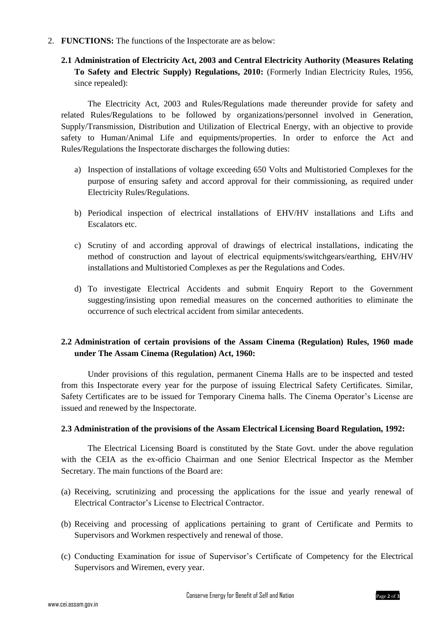- 2. **FUNCTIONS:** The functions of the Inspectorate are as below:
	- **2.1 Administration of Electricity Act, 2003 and Central Electricity Authority (Measures Relating To Safety and Electric Supply) Regulations, 2010:** (Formerly Indian Electricity Rules, 1956, since repealed):

The Electricity Act, 2003 and Rules/Regulations made thereunder provide for safety and related Rules/Regulations to be followed by organizations/personnel involved in Generation, Supply/Transmission, Distribution and Utilization of Electrical Energy, with an objective to provide safety to Human/Animal Life and equipments/properties. In order to enforce the Act and Rules/Regulations the Inspectorate discharges the following duties:

- a) Inspection of installations of voltage exceeding 650 Volts and Multistoried Complexes for the purpose of ensuring safety and accord approval for their commissioning, as required under Electricity Rules/Regulations.
- b) Periodical inspection of electrical installations of EHV/HV installations and Lifts and Escalators etc.
- c) Scrutiny of and according approval of drawings of electrical installations, indicating the method of construction and layout of electrical equipments/switchgears/earthing, EHV/HV installations and Multistoried Complexes as per the Regulations and Codes.
- d) To investigate Electrical Accidents and submit Enquiry Report to the Government suggesting/insisting upon remedial measures on the concerned authorities to eliminate the occurrence of such electrical accident from similar antecedents.

## **2.2 Administration of certain provisions of the Assam Cinema (Regulation) Rules, 1960 made under The Assam Cinema (Regulation) Act, 1960:**

Under provisions of this regulation, permanent Cinema Halls are to be inspected and tested from this Inspectorate every year for the purpose of issuing Electrical Safety Certificates. Similar, Safety Certificates are to be issued for Temporary Cinema halls. The Cinema Operator's License are issued and renewed by the Inspectorate.

#### **2.3 Administration of the provisions of the Assam Electrical Licensing Board Regulation, 1992:**

The Electrical Licensing Board is constituted by the State Govt. under the above regulation with the CEIA as the ex-officio Chairman and one Senior Electrical Inspector as the Member Secretary. The main functions of the Board are:

- (a) Receiving, scrutinizing and processing the applications for the issue and yearly renewal of Electrical Contractor's License to Electrical Contractor.
- (b) Receiving and processing of applications pertaining to grant of Certificate and Permits to Supervisors and Workmen respectively and renewal of those.
- (c) Conducting Examination for issue of Supervisor's Certificate of Competency for the Electrical Supervisors and Wiremen, every year.